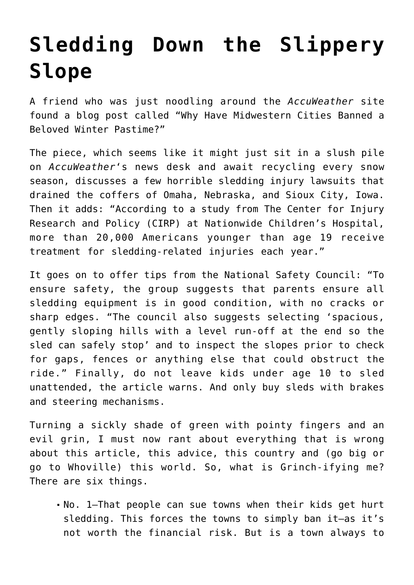## **[Sledding Down the Slippery](https://intellectualtakeout.org/2020/12/sledding-down-the-slippery-slope/) [Slope](https://intellectualtakeout.org/2020/12/sledding-down-the-slippery-slope/)**

A friend who was just noodling around the *AccuWeather* site found a blog post called "Why Have Midwestern Cities Banned a Beloved Winter Pastime?"

The piece, which seems like it might just sit in a slush pile on *AccuWeather*'s news desk and await recycling every snow season, discusses a few horrible sledding injury lawsuits that drained the coffers of Omaha, Nebraska, and Sioux City, Iowa. Then it adds: "According to a study from The Center for Injury Research and Policy (CIRP) at Nationwide Children's Hospital, more than 20,000 Americans younger than age 19 receive treatment for sledding-related injuries each year."

It goes on to offer tips from the National Safety Council: "To ensure safety, the group suggests that parents ensure all sledding equipment is in good condition, with no cracks or sharp edges. "The council also suggests selecting 'spacious, gently sloping hills with a level run-off at the end so the sled can safely stop' and to inspect the slopes prior to check for gaps, fences or anything else that could obstruct the ride." Finally, do not leave kids under age 10 to sled unattended, the article warns. And only buy sleds with brakes and steering mechanisms.

Turning a sickly shade of green with pointy fingers and an evil grin, I must now rant about everything that is wrong about this article, this advice, this country and (go big or go to Whoville) this world. So, what is Grinch-ifying me? There are six things.

No. 1—That people can sue towns when their kids get hurt sledding. This forces the towns to simply ban it—as it's not worth the financial risk. But is a town always to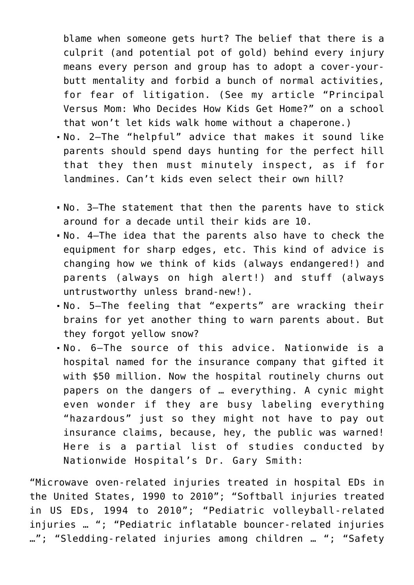blame when someone gets hurt? The belief that there is a culprit (and potential pot of gold) behind every injury means every person and group has to adopt a cover-yourbutt mentality and forbid a bunch of normal activities, for fear of litigation. (See my article "Principal Versus Mom: Who Decides How Kids Get Home?" on a school that won't let kids walk home without a chaperone.)

- No. 2—The "helpful" advice that makes it sound like parents should spend days hunting for the perfect hill that they then must minutely inspect, as if for landmines. Can't kids even select their own hill?
- No. 3—The statement that then the parents have to stick around for a decade until their kids are 10.
- No. 4—The idea that the parents also have to check the equipment for sharp edges, etc. This kind of advice is changing how we think of kids (always endangered!) and parents (always on high alert!) and stuff (always untrustworthy unless brand-new!).
- No. 5—The feeling that "experts" are wracking their brains for yet another thing to warn parents about. But they forgot yellow snow?
- No. 6—The source of this advice. Nationwide is a hospital named for the insurance company that gifted it with \$50 million. Now the hospital routinely churns out papers on the dangers of … everything. A cynic might even wonder if they are busy labeling everything "hazardous" just so they might not have to pay out insurance claims, because, hey, the public was warned! Here is a partial list of studies conducted by Nationwide Hospital's Dr. Gary Smith:

"Microwave oven-related injuries treated in hospital EDs in the United States, 1990 to 2010"; "Softball injuries treated in US EDs, 1994 to 2010"; "Pediatric volleyball-related injuries … "; "Pediatric inflatable bouncer-related injuries …"; "Sledding-related injuries among children … "; "Safety